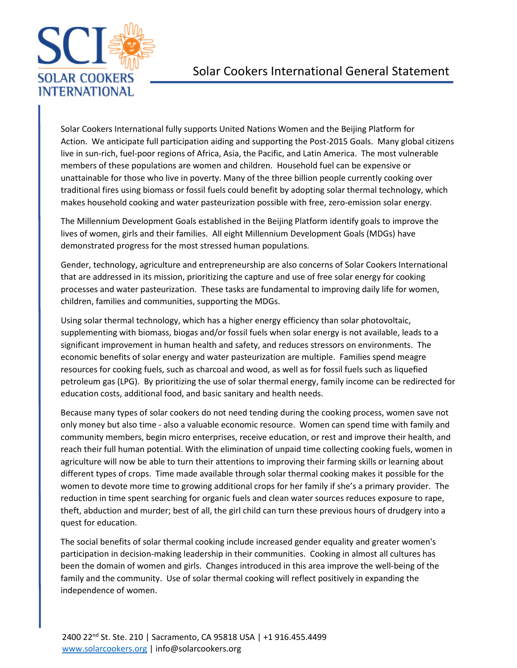

Solar Cookers International fully supports United Nations Women and the Beijing Platform for Action. We anticipate full participation aiding and supporting the Post-2015 Goals. Many global citizens live in sun-rich, fuel-poor regions of Africa, Asia, the Pacific, and Latin America. The most vulnerable members of these populations are women and children. Household fuel can be expensive or unattainable for those who live in poverty. Many of the three billion people currently cooking over traditional fires using biomass or fossil fuels could benefit by adopting solar thermal technology, which makes household cooking and water pasteurization possible with free, zero-emission solar energy.

The Millennium Development Goals established in the Beijing Platform identify goals to improve the lives of women, girls and their families. All eight Millennium Development Goals (MDGs) have demonstrated progress for the most stressed human populations.

Gender, technology, agriculture and entrepreneurship are also concerns of Solar Cookers International that are addressed in its mission, prioritizing the capture and use of free solar energy for cooking processes and water pasteurization. These tasks are fundamental to improving daily life for women, children, families and communities, supporting the MDGs.

Using solar thermal technology, which has a higher energy efficiency than solar photovoltaic, supplementing with biomass, biogas and/or fossil fuels when solar energy is not available, leads to a significant improvement in human health and safety, and reduces stressors on environments. The economic benefits of solar energy and water pasteurization are multiple. Families spend meagre resources for cooking fuels, such as charcoal and wood, as well as for fossil fuels such as liquefied petroleum gas (LPG). By prioritizing the use of solar thermal energy, family income can be redirected for education costs, additional food, and basic sanitary and health needs.

Because many types of solar cookers do not need tending during the cooking process, women save not only money but also time - also a valuable economic resource. Women can spend time with family and community members, begin micro enterprises, receive education, or rest and improve their health, and reach their full human potential. With the elimination of unpaid time collecting cooking fuels, women in agriculture will now be able to turn their attentions to improving their farming skills or learning about different types of crops. Time made available through solar thermal cooking makes it possible for the women to devote more time to growing additional crops for her family if she's a primary provider. The reduction in time spent searching for organic fuels and clean water sources reduces exposure to rape, theft, abduction and murder; best of all, the girl child can turn these previous hours of drudgery into a quest for education.

The social benefits of solar thermal cooking include increased gender equality and greater women's participation in decision-making leadership in their communities. Cooking in almost all cultures has been the domain of women and girls. Changes introduced in this area improve the well-being of the family and the community. Use of solar thermal cooking will reflect positively in expanding the independence of women.